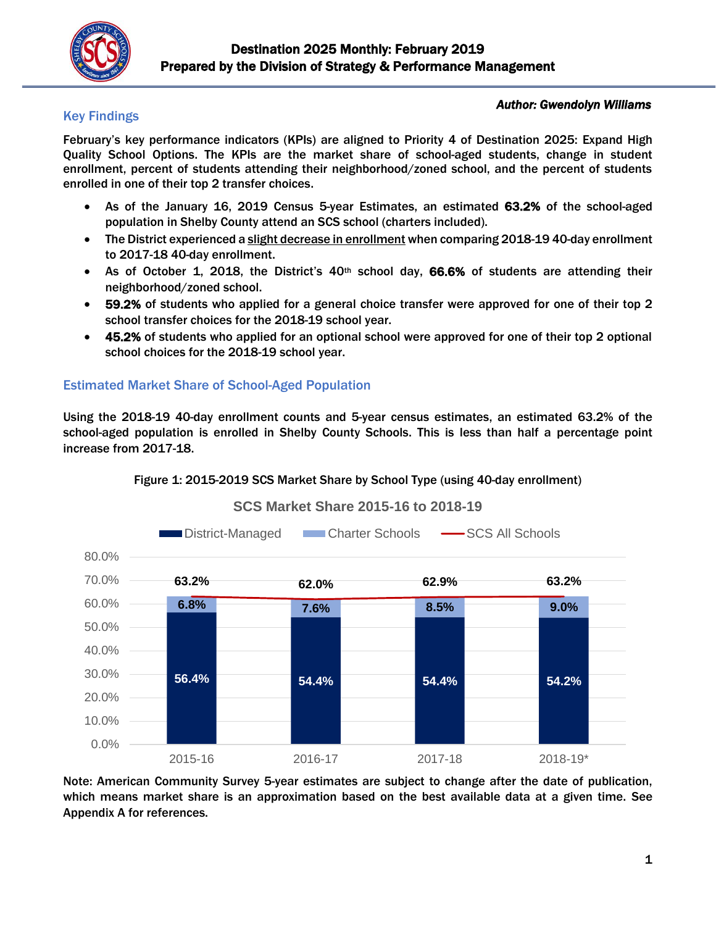

### Key Findings

#### *Author: Gwendolyn Williams*

February's key performance indicators (KPIs) are aligned to Priority 4 of Destination 2025: Expand High Quality School Options. The KPIs are the market share of school-aged students, change in student enrollment, percent of students attending their neighborhood/zoned school, and the percent of students enrolled in one of their top 2 transfer choices.

### As of the January 16, 2019 Census 5-year Estimates, an estimated 63.2% of the school-aged population in Shelby County attend an SCS school (charters included).

- The District experienced a slight decrease in enrollment when comparing 2018-19 40-day enrollment to 2017-18 40-day enrollment.
- As of October 1, 2018, the District's  $40<sup>th</sup>$  school day, 66.6% of students are attending their neighborhood/zoned school.
- 59.2% of students who applied for a general choice transfer were approved for one of their top 2 school transfer choices for the 2018-19 school year.
- 45.2% of students who applied for an optional school were approved for one of their top 2 optional school choices for the 2018-19 school year.

### Estimated Market Share of School-Aged Population

Using the 2018-19 40-day enrollment counts and 5-year census estimates, an estimated 63.2% of the school-aged population is enrolled in Shelby County Schools. This is less than half a percentage point increase from 2017-18.



#### Figure 1: 2015-2019 SCS Market Share by School Type (using 40-day enrollment)

Note: American Community Survey 5-year estimates are subject to change after the date of publication, which means market share is an approximation based on the best available data at a given time. See Appendix A for references.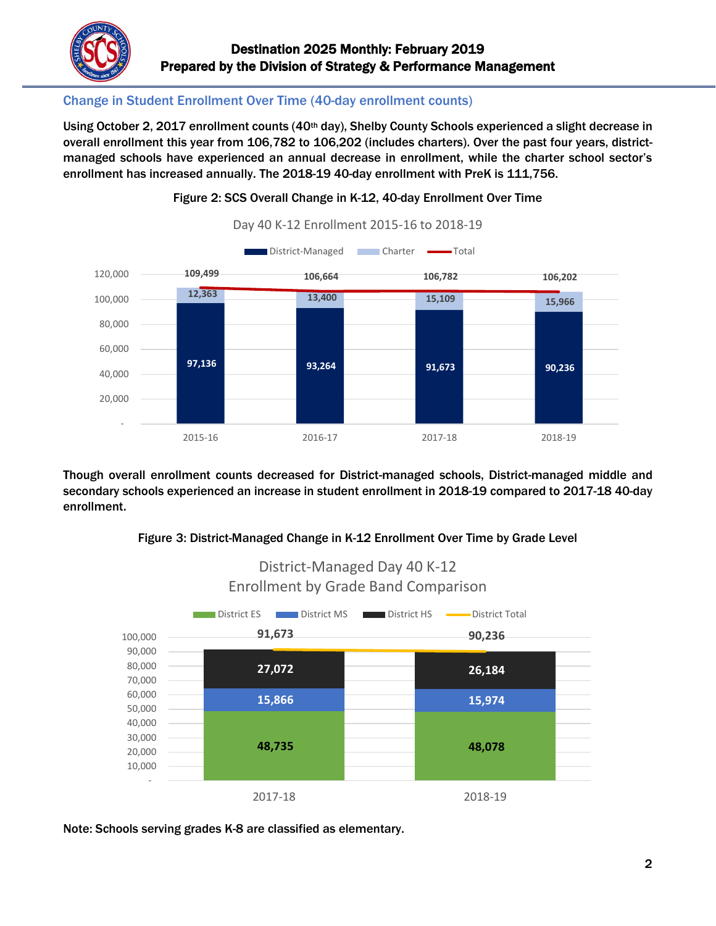

## Change in Student Enrollment Over Time (40-day enrollment counts)

Using October 2, 2017 enrollment counts (40th day), Shelby County Schools experienced a slight decrease in overall enrollment this year from 106,782 to 106,202 (includes charters). Over the past four years, districtmanaged schools have experienced an annual decrease in enrollment, while the charter school sector's enrollment has increased annually. The 2018-19 40-day enrollment with PreK is 111,756.



Figure 2: SCS Overall Change in K-12, 40-day Enrollment Over Time

Though overall enrollment counts decreased for District-managed schools, District-managed middle and secondary schools experienced an increase in student enrollment in 2018-19 compared to 2017-18 40-day enrollment.





District-Managed Day 40 K-12

Note: Schools serving grades K-8 are classified as elementary.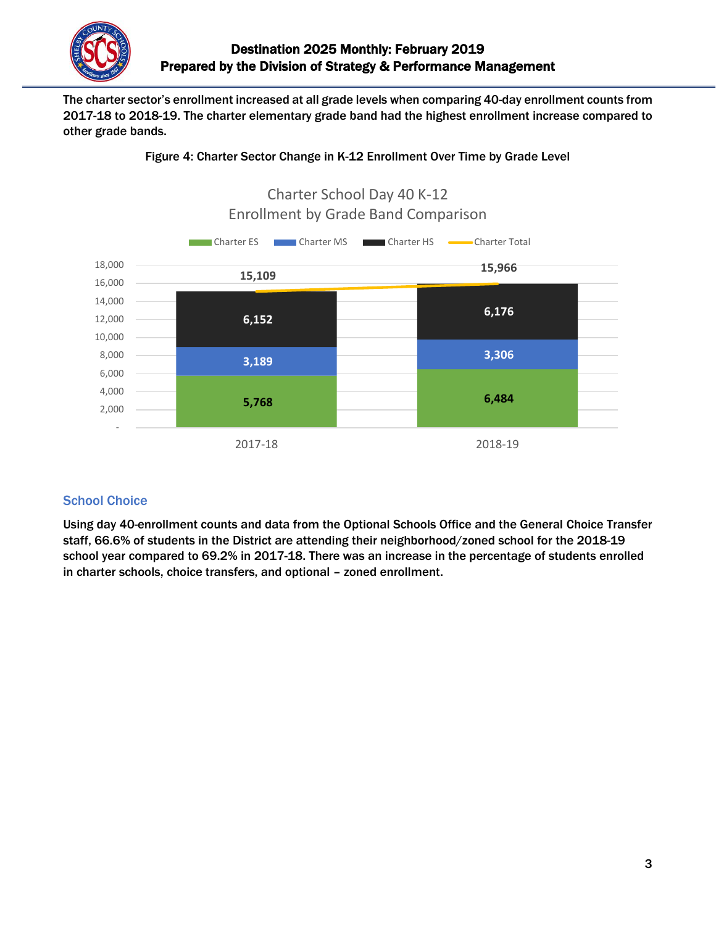

The charter sector's enrollment increased at all grade levels when comparing 40-day enrollment counts from 2017-18 to 2018-19. The charter elementary grade band had the highest enrollment increase compared to other grade bands.





## **School Choice**

Using day 40-enrollment counts and data from the Optional Schools Office and the General Choice Transfer staff, 66.6% of students in the District are attending their neighborhood/zoned school for the 2018-19 school year compared to 69.2% in 2017-18. There was an increase in the percentage of students enrolled in charter schools, choice transfers, and optional – zoned enrollment.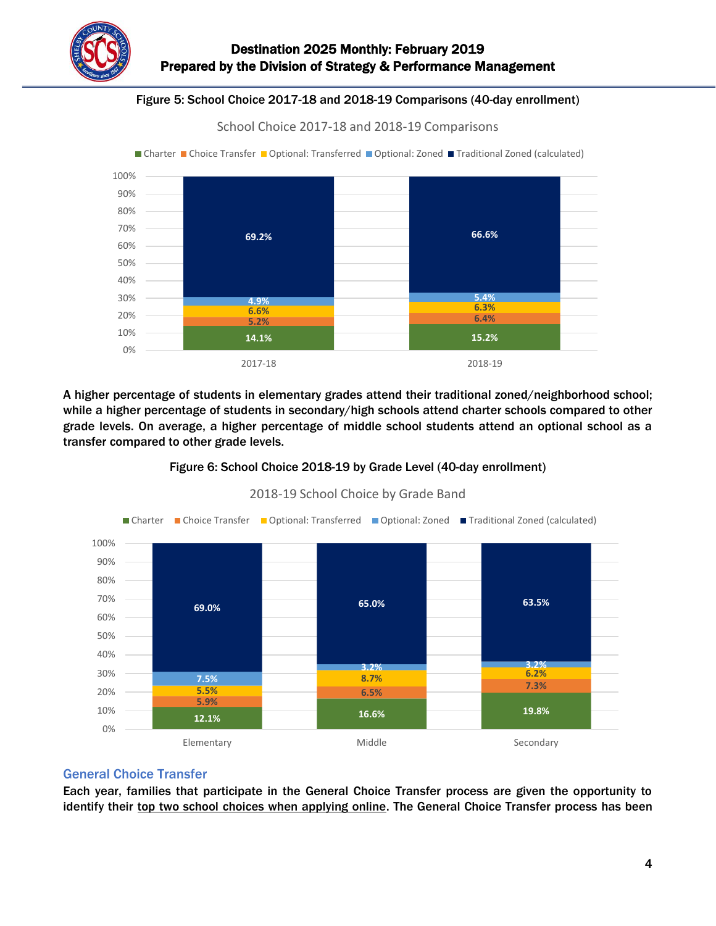

### $\overline{a}$ Figure 5: School Choice 2017-18 and 2018-19 Comparisons (40-day enrollment)

School Choice 2017-18 and 2018-19 Comparisons



A higher percentage of students in elementary grades attend their traditional zoned/neighborhood school; while a higher percentage of students in secondary/high schools attend charter schools compared to other grade levels. On average, a higher percentage of middle school students attend an optional school as a transfer compared to other grade levels.





2018-19 School Choice by Grade Band

### General Choice Transfer

Each year, families that participate in the General Choice Transfer process are given the opportunity to identify their top two school choices when applying online. The General Choice Transfer process has been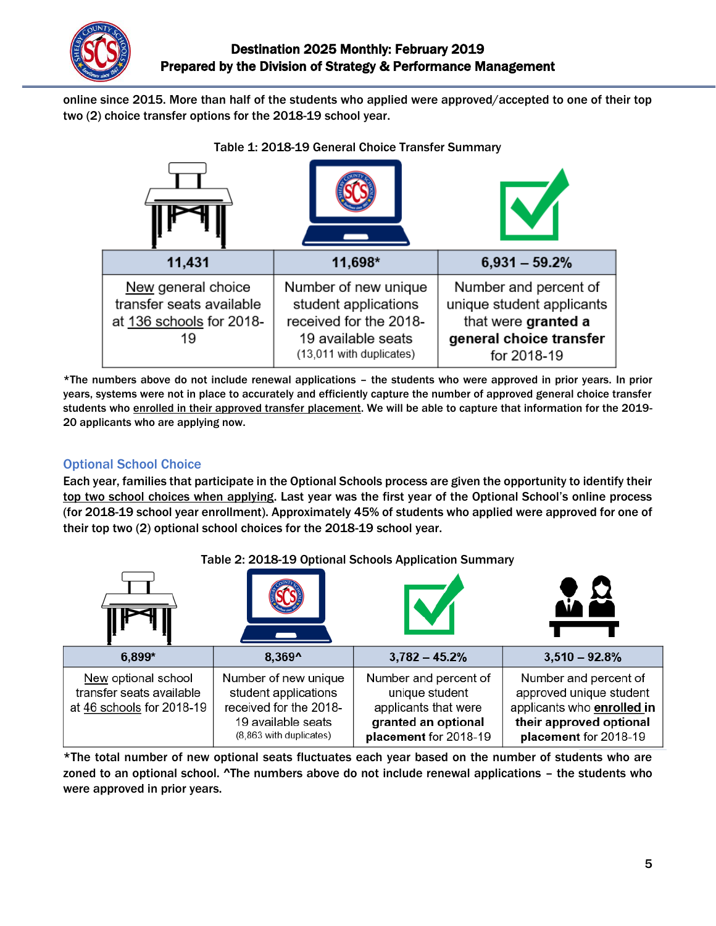

online since 2015. More than half of the students who applied were approved/accepted to one of their top two (2) choice transfer options for the 2018-19 school year.

 $\overline{a}$ 



\*The numbers above do not include renewal applications – the students who were approved in prior years. In prior years, systems were not in place to accurately and efficiently capture the number of approved general choice transfer students who enrolled in their approved transfer placement. We will be able to capture that information for the 2019-20 applicants who are applying now.

# Optional School Choice

Each year, families that participate in the Optional Schools process are given the opportunity to identify their top two school choices when applying. Last year was the first year of the Optional School's online process (for 2018-19 school year enrollment). Approximately 45% of students who applied were approved for one of their top two (2) optional school choices for the 2018-19 school year.

|                                                                              | $10000$ $\leq$ , $2010$ $\leq$ $20$ $\leq$ $00000$ $\leq$ $00000$ $\leq$ $00000$                                        |                                                                                                                 |                                                                                                                                    |  |
|------------------------------------------------------------------------------|-------------------------------------------------------------------------------------------------------------------------|-----------------------------------------------------------------------------------------------------------------|------------------------------------------------------------------------------------------------------------------------------------|--|
| $6.899*$                                                                     | 8.369^                                                                                                                  | $3,782 - 45.2%$                                                                                                 | $3,510 - 92.8\%$                                                                                                                   |  |
| New optional school<br>transfer seats available<br>at 46 schools for 2018-19 | Number of new unique<br>student applications<br>received for the 2018-<br>19 available seats<br>(8,863 with duplicates) | Number and percent of<br>unique student<br>applicants that were<br>granted an optional<br>placement for 2018-19 | Number and percent of<br>approved unique student<br>applicants who enrolled in<br>their approved optional<br>placement for 2018-19 |  |

Table 2: 2018-19 Optional Schools Application Summary

\*The total number of new optional seats fluctuates each year based on the number of students who are zoned to an optional school. ^The numbers above do not include renewal applications – the students who were approved in prior years.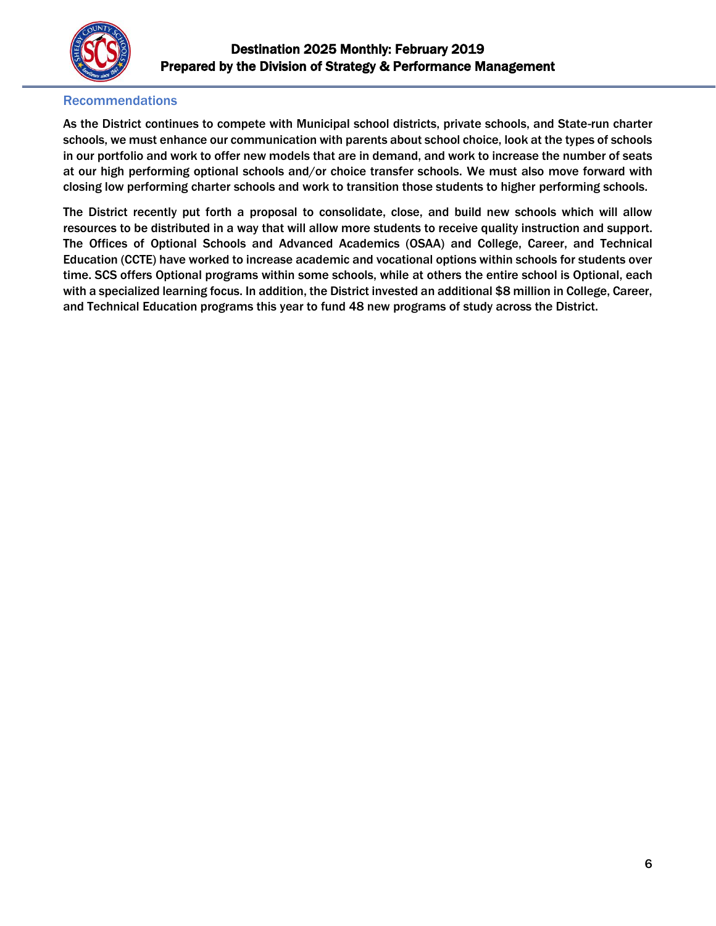

#### Recommendations

As the District continues to compete with Municipal school districts, private schools, and State-run charter schools, we must enhance our communication with parents about school choice, look at the types of schools in our portfolio and work to offer new models that are in demand, and work to increase the number of seats at our high performing optional schools and/or choice transfer schools. We must also move forward with closing low performing charter schools and work to transition those students to higher performing schools.

The District recently put forth a proposal to consolidate, close, and build new schools which will allow resources to be distributed in a way that will allow more students to receive quality instruction and support. The Offices of Optional Schools and Advanced Academics (OSAA) and College, Career, and Technical Education (CCTE) have worked to increase academic and vocational options within schools for students over time. SCS offers Optional programs within some schools, while at others the entire school is Optional, each with a specialized learning focus. In addition, the District invested an additional \$8 million in College, Career, and Technical Education programs this year to fund 48 new programs of study across the District.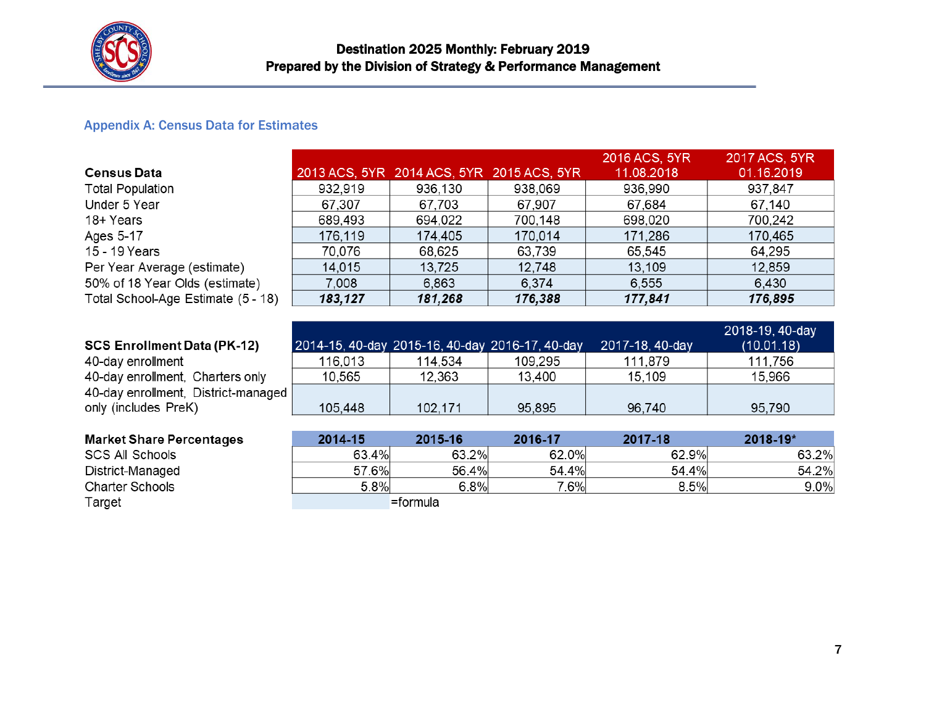

#### Appendix A: Census Data for Estimates

|                                    |         |                                           |         | 2016 ACS, 5YR | 2017 ACS, 5YR |
|------------------------------------|---------|-------------------------------------------|---------|---------------|---------------|
| <b>Census Data</b>                 |         | 2013 ACS, 5YR 2014 ACS, 5YR 2015 ACS, 5YR |         | 11.08.2018    | 01.16.2019    |
| <b>Total Population</b>            | 932,919 | 936,130                                   | 938,069 | 936,990       | 937,847       |
| Under 5 Year                       | 67,307  | 67,703                                    | 67,907  | 67,684        | 67,140        |
| 18+ Years                          | 689,493 | 694,022                                   | 700,148 | 698,020       | 700,242       |
| Ages 5-17                          | 176,119 | 174,405                                   | 170,014 | 171,286       | 170,465       |
| 15 - 19 Years                      | 70,076  | 68,625                                    | 63,739  | 65,545        | 64,295        |
| Per Year Average (estimate)        | 14,015  | 13,725                                    | 12,748  | 13,109        | 12,859        |
| 50% of 18 Year Olds (estimate)     | 7,008   | 6,863                                     | 6,374   | 6,555         | 6,430         |
| Total School-Age Estimate (5 - 18) | 183,127 | 181,268                                   | 176,388 | 177,841       | 176,895       |

### **SCS Enrollment Data (PK-12)**

Target

40-day enrollment 40-day enrollment, Charters only 40-day enrollment, District-managed only (includes PreK)

|   |         | 2014-15, 40-day 2015-16, 40-day 2016-17, 40-day |         | 2017-18, 40-day | 2018-19, 40-day<br>(10.01.18) |
|---|---------|-------------------------------------------------|---------|-----------------|-------------------------------|
|   | 116,013 | 114.534                                         | 109,295 | 111,879         | 111,756                       |
|   | 10,565  | 12,363                                          | 13,400  | 15,109          | 15,966                        |
| d |         |                                                 |         |                 |                               |
|   | 105,448 | 102,171                                         | 95,895  | 96,740          | 95,790                        |

| <b>Market Share Percentages</b> | $2014 - 15$ | 2015-16     | 2016-17 | 2017-18 | 2018-19* |
|---------------------------------|-------------|-------------|---------|---------|----------|
| SCS All Schools                 | 63.4%       | 63.2%       | 62.0%   | 62.9%   | 63.2%    |
| District-Managed                | 57.6%       | 56.4%       | 54.4%   | 54.4%   | 54.2%    |
| <b>Charter Schools</b>          | 5.8%        | $6.8\%$     | 7.6%    | 8.5%    | 9.0%     |
| Toract.                         |             | $-6$ croudo |         |         |          |

=formula